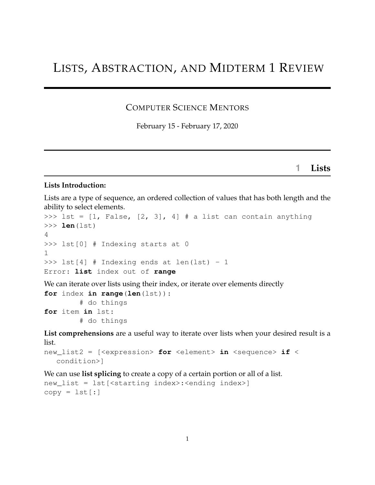# LISTS, ABSTRACTION, AND MIDTERM 1 REVIEW

#### COMPUTER SCIENCE MENTORS

February 15 - February 17, 2020

**1 Lists**

#### **Lists Introduction:**

Lists are a type of sequence, an ordered collection of values that has both length and the ability to select elements.

```
>>> lst = [1, False, [2, 3], 4] # a list can contain anything
>>> len(lst)
4
>>> lst[0] # Indexing starts at 0
1
\gg lst[4] # Indexing ends at len(lst) - 1
Error: list index out of range
We can iterate over lists using their index, or iterate over elements directly
for index in range(len(lst)):
         # do things
for item in lst:
         # do things
List comprehensions are a useful way to iterate over lists when your desired result is a
```
list.

```
new_list2 = [<expression> for <element> in <sequence> if <
  condition>]
```
We can use **list splicing** to create a copy of a certain portion or all of a list.

```
new_list = lst[<starting index>:<ending index>]
copy = lst[:]
```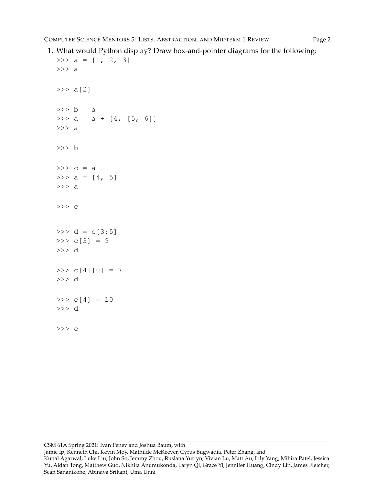```
1. What would Python display? Draw box-and-pointer diagrams for the following:
```

```
>>> a = [1, 2, 3]>>> a
>> a[2]
\Rightarrow b = a
>>> a = a + [4, [5, 6]]>>> a
>>> b
\gg c = a
>>> a = [4, 5]>>> a
>>> c
>> d = c[3:5]
>>c[3] = 9>>> d
>> c[4][0] = 7
>>> d
>>c[4] = 10>>> d
>>> c
```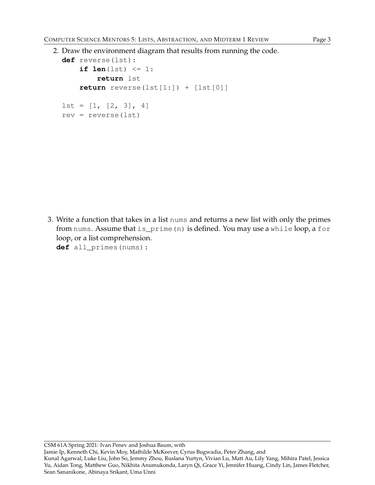```
2. Draw the environment diagram that results from running the code.
  def reverse(lst):
      if len(lst) \leq 1:return lst
      return reverse(lst[1:]) + [lst[0]]
  1st = [1, [2, 3], 4]rev = reverse(lst)
```
3. Write a function that takes in a list nums and returns a new list with only the primes from nums. Assume that is\_prime(n) is defined. You may use a while loop, a for loop, or a list comprehension.

**def** all\_primes(nums):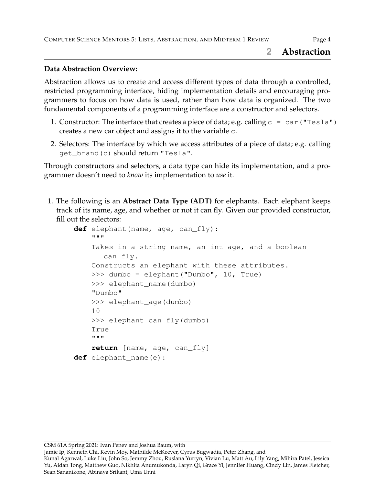#### **2 Abstraction**

#### **Data Abstraction Overview:**

Abstraction allows us to create and access different types of data through a controlled, restricted programming interface, hiding implementation details and encouraging programmers to focus on how data is used, rather than how data is organized. The two fundamental components of a programming interface are a constructor and selectors.

- 1. Constructor: The interface that creates a piece of data; e.g. calling  $c = car$  ("Tesla") creates a new car object and assigns it to the variable c.
- 2. Selectors: The interface by which we access attributes of a piece of data; e.g. calling get\_brand(c) should return "Tesla".

Through constructors and selectors, a data type can hide its implementation, and a programmer doesn't need to *know* its implementation to *use* it.

1. The following is an **Abstract Data Type (ADT)** for elephants. Each elephant keeps track of its name, age, and whether or not it can fly. Given our provided constructor, fill out the selectors:

```
def elephant(name, age, can_fly):
    """
    Takes in a string name, an int age, and a boolean
       can_fly.
    Constructs an elephant with these attributes.
    >>> dumbo = elephant("Dumbo", 10, True)
    >>> elephant name(dumbo)
    "Dumbo"
    >>> elephant_age(dumbo)
    10
    >>> elephant_can_fly(dumbo)
    True
    """
    return [name, age, can_fly]
def elephant_name(e):
```
Jamie Ip, Kenneth Chi, Kevin Moy, Mathilde McKeever, Cyrus Bugwadia, Peter Zhang, and

Kunal Agarwal, Luke Liu, John So, Jemmy Zhou, Ruslana Yurtyn, Vivian Lu, Matt Au, Lily Yang, Mihira Patel, Jessica Yu, Aidan Tong, Matthew Guo, Nikhita Anumukonda, Laryn Qi, Grace Yi, Jennifer Huang, Cindy Lin, James Fletcher, Sean Sananikone, Abinaya Srikant, Uma Unni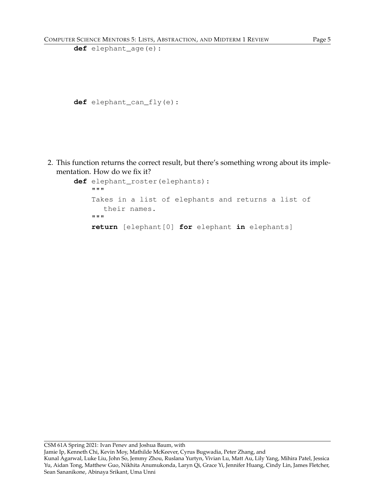```
def elephant_age(e):
```

```
def elephant_can_fly(e):
```
2. This function returns the correct result, but there's something wrong about its implementation. How do we fix it?

```
def elephant_roster(elephants):
    """
    Takes in a list of elephants and returns a list of
      their names.
    """
    return [elephant[0] for elephant in elephants]
```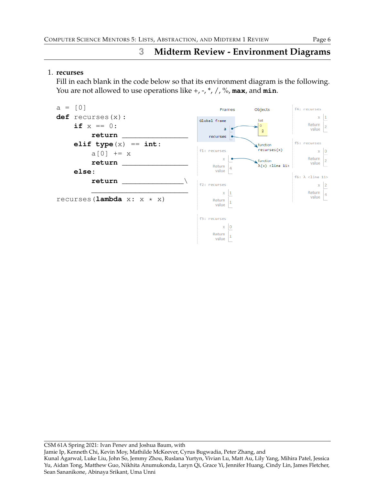# **3 Midterm Review - Environment Diagrams**

#### 1. **recurses**

Fill in each blank in the code below so that its environment diagram is the following. You are not allowed to use operations like +, -, \*, /, %, **max**, and **min**.

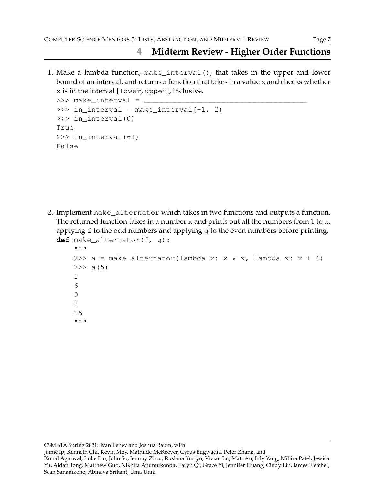## **4 Midterm Review - Higher Order Functions**

1. Make a lambda function, make\_interval(), that takes in the upper and lower bound of an interval, and returns a function that takes in a value x and checks whether x is in the interval [lower, upper], inclusive.

```
>>> make_interval = _____________________________________
>>> in_interval = make_interval(-1, 2)
>>> in interval(0)
True
>>> in_interval(61)
False
```
2. Implement make\_alternator which takes in two functions and outputs a function. The returned function takes in a number  $x$  and prints out all the numbers from 1 to  $x$ , applying  $f$  to the odd numbers and applying  $g$  to the even numbers before printing. **def** make\_alternator(f, g):

```
"""
>>> a = make_alternator(lambda x: x \times x, lambda x: x + 4)
>> a(5)
1
6
9
8
25
"""
```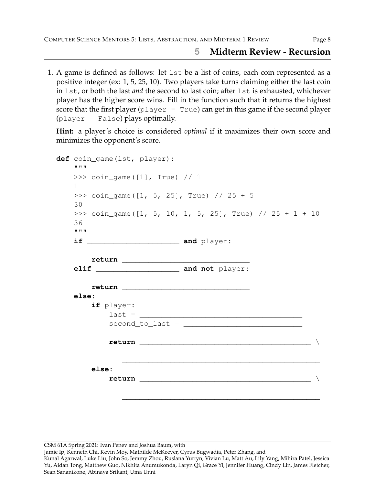### **5 Midterm Review - Recursion**

1. A game is defined as follows: let lst be a list of coins, each coin represented as a positive integer (ex: 1, 5, 25, 10). Two players take turns claiming either the last coin in lst, or both the last *and* the second to last coin; after lst is exhausted, whichever player has the higher score wins. Fill in the function such that it returns the highest score that the first player  $(p \text{layer} = \text{True})$  can get in this game if the second player (player = False) plays optimally.

**Hint:** a player's choice is considered *optimal* if it maximizes their own score and minimizes the opponent's score.

| <b>H H H</b>       | def coin_game(lst, player):                                  |  |  |                                   |  |  |  |
|--------------------|--------------------------------------------------------------|--|--|-----------------------------------|--|--|--|
| $\mathbf{1}$       | >>> $\cosh_q$ coin_game ([1], True) // 1                     |  |  |                                   |  |  |  |
| 30                 | >>> coin_game( $[1, 5, 25]$ , True) // 25 + 5                |  |  |                                   |  |  |  |
| 36<br><b>H H H</b> | >>> coin_game( $[1, 5, 10, 1, 5, 25]$ , True) // 25 + 1 + 10 |  |  |                                   |  |  |  |
|                    |                                                              |  |  |                                   |  |  |  |
|                    |                                                              |  |  |                                   |  |  |  |
| else:              | if player:                                                   |  |  | $last = \_$<br>$second_to_last =$ |  |  |  |
|                    |                                                              |  |  |                                   |  |  |  |
|                    | else:                                                        |  |  |                                   |  |  |  |
|                    |                                                              |  |  |                                   |  |  |  |

CSM 61A Spring 2021: Ivan Penev and Joshua Baum, with

Jamie Ip, Kenneth Chi, Kevin Moy, Mathilde McKeever, Cyrus Bugwadia, Peter Zhang, and

Kunal Agarwal, Luke Liu, John So, Jemmy Zhou, Ruslana Yurtyn, Vivian Lu, Matt Au, Lily Yang, Mihira Patel, Jessica Yu, Aidan Tong, Matthew Guo, Nikhita Anumukonda, Laryn Qi, Grace Yi, Jennifer Huang, Cindy Lin, James Fletcher, Sean Sananikone, Abinaya Srikant, Uma Unni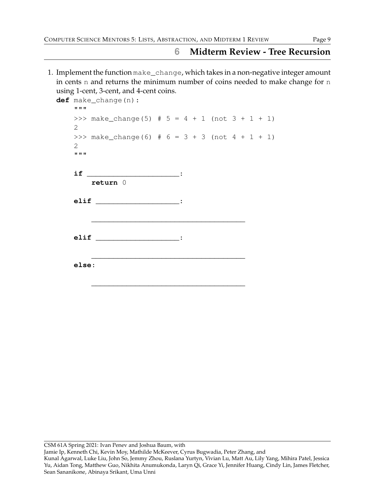### **6 Midterm Review - Tree Recursion**

1. Implement the function make\_change, which takes in a non-negative integer amount in cents n and returns the minimum number of coins needed to make change for n using 1-cent, 3-cent, and 4-cent coins.

| <b>H H H</b>                   |  |                                                 |  |                                      |  |  |  |                                                                                                            |
|--------------------------------|--|-------------------------------------------------|--|--------------------------------------|--|--|--|------------------------------------------------------------------------------------------------------------|
| 2                              |  |                                                 |  |                                      |  |  |  |                                                                                                            |
| $\overline{2}$<br><b>H H H</b> |  |                                                 |  |                                      |  |  |  |                                                                                                            |
|                                |  |                                                 |  |                                      |  |  |  |                                                                                                            |
|                                |  |                                                 |  |                                      |  |  |  |                                                                                                            |
|                                |  |                                                 |  |                                      |  |  |  |                                                                                                            |
|                                |  |                                                 |  |                                      |  |  |  |                                                                                                            |
|                                |  | def make_change(n):<br>return 0<br>ell<br>else: |  | $if$ $:$<br>elif __________________: |  |  |  | >>> make_change(5) # $5 = 4 + 1$ (not $3 + 1 + 1$ )<br>>>> make_change(6) # $6 = 3 + 3$ (not $4 + 1 + 1$ ) |